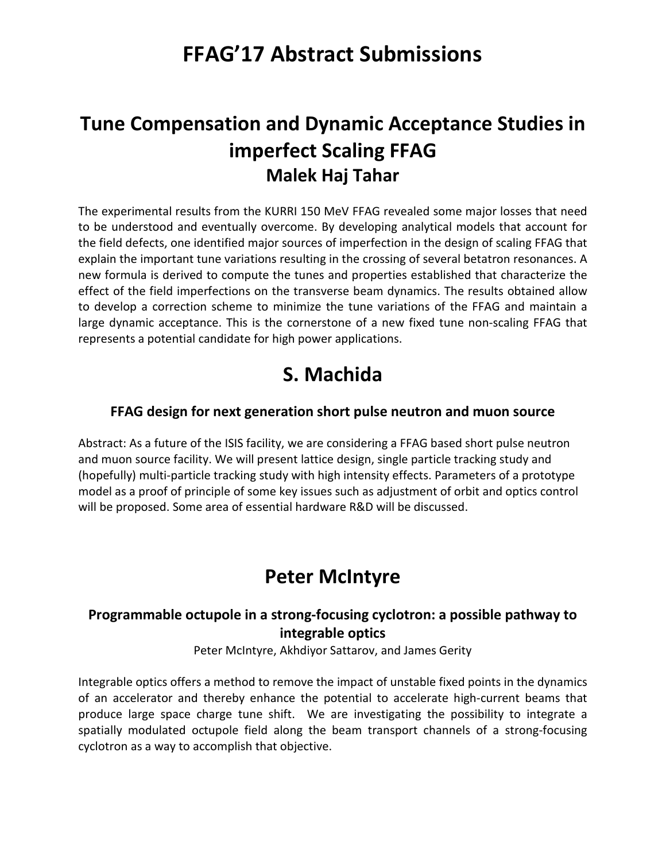# **FFAG'17 Abstract Submissions**

# **Tune Compensation and Dynamic Acceptance Studies in imperfect Scaling FFAG Malek Haj Tahar**

The experimental results from the KURRI 150 MeV FFAG revealed some major losses that need to be understood and eventually overcome. By developing analytical models that account for the field defects, one identified major sources of imperfection in the design of scaling FFAG that explain the important tune variations resulting in the crossing of several betatron resonances. A new formula is derived to compute the tunes and properties established that characterize the effect of the field imperfections on the transverse beam dynamics. The results obtained allow to develop a correction scheme to minimize the tune variations of the FFAG and maintain a large dynamic acceptance. This is the cornerstone of a new fixed tune non-scaling FFAG that represents a potential candidate for high power applications.

# **S. Machida**

### **FFAG design for next generation short pulse neutron and muon source**

Abstract: As a future of the ISIS facility, we are considering a FFAG based short pulse neutron and muon source facility. We will present lattice design, single particle tracking study and (hopefully) multi-particle tracking study with high intensity effects. Parameters of a prototype model as a proof of principle of some key issues such as adjustment of orbit and optics control will be proposed. Some area of essential hardware R&D will be discussed.

# **Peter McIntyre**

### **Programmable octupole in a strong-focusing cyclotron: a possible pathway to integrable optics**

Peter McIntyre, Akhdiyor Sattarov, and James Gerity

Integrable optics offers a method to remove the impact of unstable fixed points in the dynamics of an accelerator and thereby enhance the potential to accelerate high-current beams that produce large space charge tune shift. We are investigating the possibility to integrate a spatially modulated octupole field along the beam transport channels of a strong-focusing cyclotron as a way to accomplish that objective.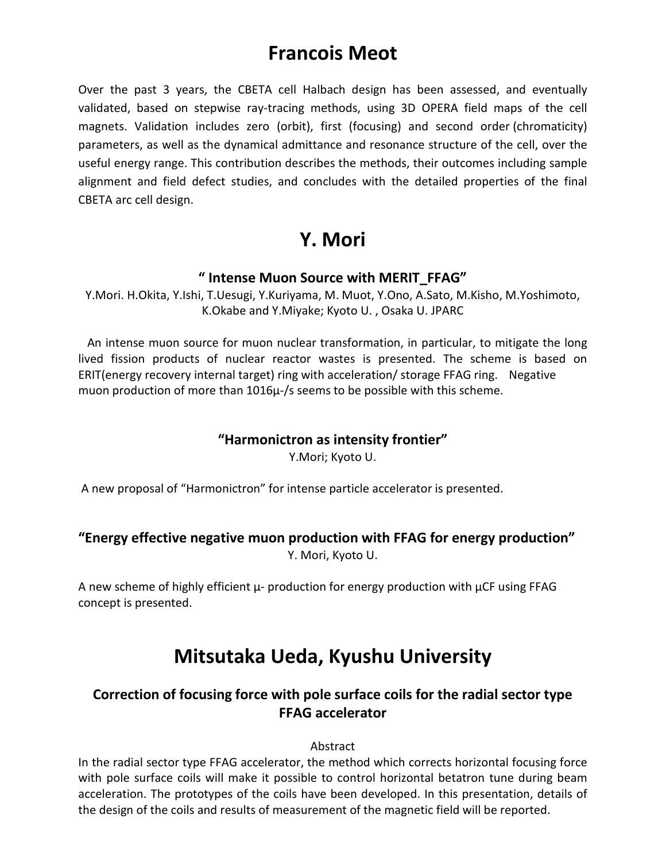### **Francois Meot**

Over the past 3 years, the CBETA cell Halbach design has been assessed, and eventually validated, based on stepwise ray-tracing methods, using 3D OPERA field maps of the cell magnets. Validation includes zero (orbit), first (focusing) and second order (chromaticity) parameters, as well as the dynamical admittance and resonance structure of the cell, over the useful energy range. This contribution describes the methods, their outcomes including sample alignment and field defect studies, and concludes with the detailed properties of the final CBETA arc cell design.

# **Y. Mori**

### **" Intense Muon Source with MERIT\_FFAG"**

Y.Mori. H.Okita, Y.Ishi, T.Uesugi, Y.Kuriyama, M. Muot, Y.Ono, A.Sato, M.Kisho, M.Yoshimoto, K.Okabe and Y.Miyake; Kyoto U. , Osaka U. JPARC

 An intense muon source for muon nuclear transformation, in particular, to mitigate the long lived fission products of nuclear reactor wastes is presented. The scheme is based on ERIT(energy recovery internal target) ring with acceleration/ storage FFAG ring. Negative muon production of more than 1016µ-/s seems to be possible with this scheme.

#### **"Harmonictron as intensity frontier"**

Y.Mori; Kyoto U.

A new proposal of "Harmonictron" for intense particle accelerator is presented.

### **"Energy effective negative muon production with FFAG for energy production"**

Y. Mori, Kyoto U.

A new scheme of highly efficient  $\mu$ - production for energy production with  $\mu$ CF using FFAG concept is presented.

## **Mitsutaka Ueda, Kyushu University**

### **Correction of focusing force with pole surface coils for the radial sector type FFAG accelerator**

#### Abstract

In the radial sector type FFAG accelerator, the method which corrects horizontal focusing force with pole surface coils will make it possible to control horizontal betatron tune during beam acceleration. The prototypes of the coils have been developed. In this presentation, details of the design of the coils and results of measurement of the magnetic field will be reported.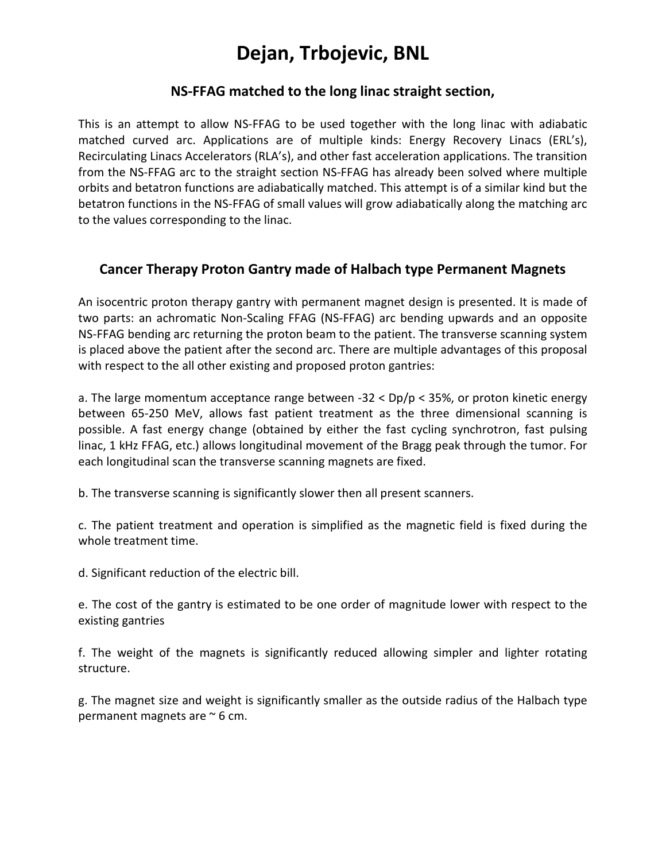# **Dejan, Trbojevic, BNL**

#### **NS-FFAG matched to the long linac straight section,**

This is an attempt to allow NS-FFAG to be used together with the long linac with adiabatic matched curved arc. Applications are of multiple kinds: Energy Recovery Linacs (ERL's), Recirculating Linacs Accelerators (RLA's), and other fast acceleration applications. The transition from the NS-FFAG arc to the straight section NS-FFAG has already been solved where multiple orbits and betatron functions are adiabatically matched. This attempt is of a similar kind but the betatron functions in the NS-FFAG of small values will grow adiabatically along the matching arc to the values corresponding to the linac.

#### **Cancer Therapy Proton Gantry made of Halbach type Permanent Magnets**

An isocentric proton therapy gantry with permanent magnet design is presented. It is made of two parts: an achromatic Non-Scaling FFAG (NS-FFAG) arc bending upwards and an opposite NS-FFAG bending arc returning the proton beam to the patient. The transverse scanning system is placed above the patient after the second arc. There are multiple advantages of this proposal with respect to the all other existing and proposed proton gantries:

a. The large momentum acceptance range between  $-32 < Dp/p < 35%$ , or proton kinetic energy between 65-250 MeV, allows fast patient treatment as the three dimensional scanning is possible. A fast energy change (obtained by either the fast cycling synchrotron, fast pulsing linac, 1 kHz FFAG, etc.) allows longitudinal movement of the Bragg peak through the tumor. For each longitudinal scan the transverse scanning magnets are fixed.

b. The transverse scanning is significantly slower then all present scanners.

c. The patient treatment and operation is simplified as the magnetic field is fixed during the whole treatment time.

d. Significant reduction of the electric bill.

e. The cost of the gantry is estimated to be one order of magnitude lower with respect to the existing gantries

f. The weight of the magnets is significantly reduced allowing simpler and lighter rotating structure.

g. The magnet size and weight is significantly smaller as the outside radius of the Halbach type permanent magnets are ~ 6 cm.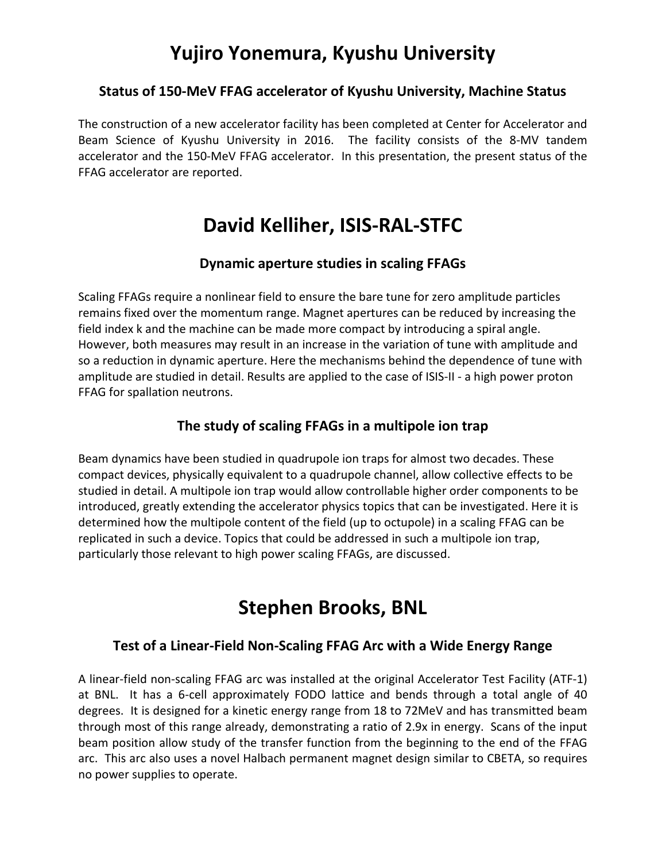## **Yujiro Yonemura, Kyushu University**

#### **Status of 150-MeV FFAG accelerator of Kyushu University, Machine Status**

The construction of a new accelerator facility has been completed at Center for Accelerator and Beam Science of Kyushu University in 2016. The facility consists of the 8-MV tandem accelerator and the 150-MeV FFAG accelerator. In this presentation, the present status of the FFAG accelerator are reported.

### **David Kelliher, ISIS-RAL-STFC**

#### **Dynamic aperture studies in scaling FFAGs**

Scaling FFAGs require a nonlinear field to ensure the bare tune for zero amplitude particles remains fixed over the momentum range. Magnet apertures can be reduced by increasing the field index k and the machine can be made more compact by introducing a spiral angle. However, both measures may result in an increase in the variation of tune with amplitude and so a reduction in dynamic aperture. Here the mechanisms behind the dependence of tune with amplitude are studied in detail. Results are applied to the case of ISIS-II - a high power proton FFAG for spallation neutrons.

#### **The study of scaling FFAGs in a multipole ion trap**

Beam dynamics have been studied in quadrupole ion traps for almost two decades. These compact devices, physically equivalent to a quadrupole channel, allow collective effects to be studied in detail. A multipole ion trap would allow controllable higher order components to be introduced, greatly extending the accelerator physics topics that can be investigated. Here it is determined how the multipole content of the field (up to octupole) in a scaling FFAG can be replicated in such a device. Topics that could be addressed in such a multipole ion trap, particularly those relevant to high power scaling FFAGs, are discussed.

## **Stephen Brooks, BNL**

#### **Test of a Linear-Field Non-Scaling FFAG Arc with a Wide Energy Range**

A linear-field non-scaling FFAG arc was installed at the original Accelerator Test Facility (ATF-1) at BNL. It has a 6-cell approximately FODO lattice and bends through a total angle of 40 degrees. It is designed for a kinetic energy range from 18 to 72MeV and has transmitted beam through most of this range already, demonstrating a ratio of 2.9x in energy. Scans of the input beam position allow study of the transfer function from the beginning to the end of the FFAG arc. This arc also uses a novel Halbach permanent magnet design similar to CBETA, so requires no power supplies to operate.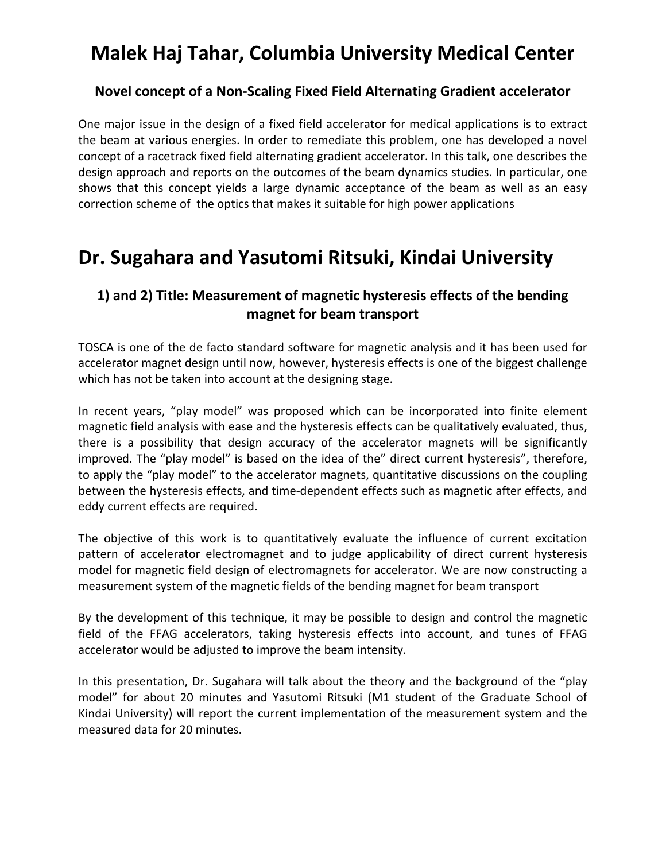# **Malek Haj Tahar, Columbia University Medical Center**

### **Novel concept of a Non-Scaling Fixed Field Alternating Gradient accelerator**

One major issue in the design of a fixed field accelerator for medical applications is to extract the beam at various energies. In order to remediate this problem, one has developed a novel concept of a racetrack fixed field alternating gradient accelerator. In this talk, one describes the design approach and reports on the outcomes of the beam dynamics studies. In particular, one shows that this concept yields a large dynamic acceptance of the beam as well as an easy correction scheme of the optics that makes it suitable for high power applications

### **Dr. Sugahara and Yasutomi Ritsuki, Kindai University**

### **1) and 2) Title: Measurement of magnetic hysteresis effects of the bending magnet for beam transport**

TOSCA is one of the de facto standard software for magnetic analysis and it has been used for accelerator magnet design until now, however, hysteresis effects is one of the biggest challenge which has not be taken into account at the designing stage.

In recent years, "play model" was proposed which can be incorporated into finite element magnetic field analysis with ease and the hysteresis effects can be qualitatively evaluated, thus, there is a possibility that design accuracy of the accelerator magnets will be significantly improved. The "play model" is based on the idea of the" direct current hysteresis", therefore, to apply the "play model" to the accelerator magnets, quantitative discussions on the coupling between the hysteresis effects, and time-dependent effects such as magnetic after effects, and eddy current effects are required.

The objective of this work is to quantitatively evaluate the influence of current excitation pattern of accelerator electromagnet and to judge applicability of direct current hysteresis model for magnetic field design of electromagnets for accelerator. We are now constructing a measurement system of the magnetic fields of the bending magnet for beam transport

By the development of this technique, it may be possible to design and control the magnetic field of the FFAG accelerators, taking hysteresis effects into account, and tunes of FFAG accelerator would be adjusted to improve the beam intensity.

In this presentation, Dr. Sugahara will talk about the theory and the background of the "play model" for about 20 minutes and Yasutomi Ritsuki (M1 student of the Graduate School of Kindai University) will report the current implementation of the measurement system and the measured data for 20 minutes.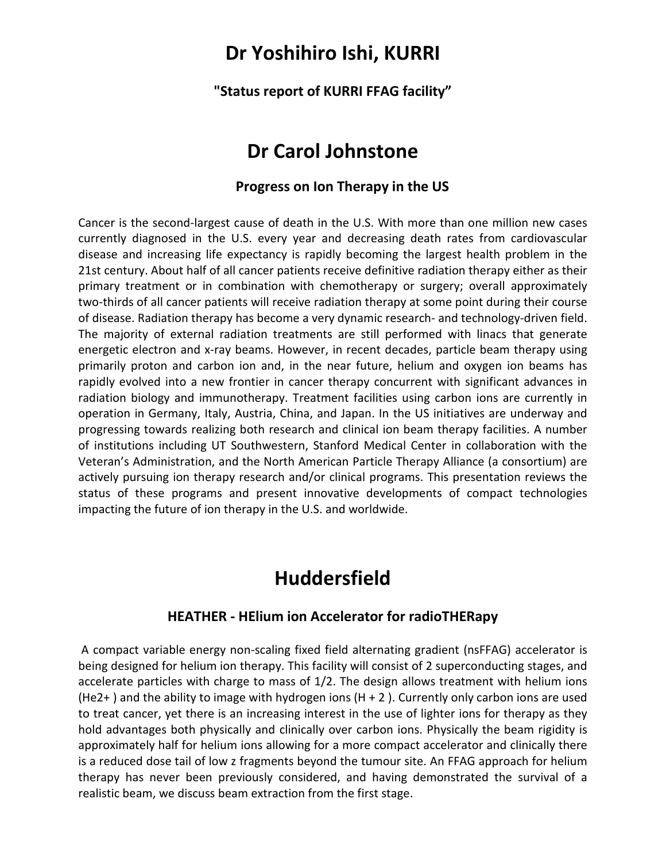### **Dr Yoshihiro Ishi, KURRI**

**"Status report of KURRI FFAG facility"**

### **Dr Carol Johnstone**

#### **Progress on Ion Therapy in the US**

Cancer is the second-largest cause of death in the U.S. With more than one million new cases currently diagnosed in the U.S. every year and decreasing death rates from cardiovascular disease and increasing life expectancy is rapidly becoming the largest health problem in the 21st century. About half of all cancer patients receive definitive radiation therapy either as their primary treatment or in combination with chemotherapy or surgery; overall approximately two-thirds of all cancer patients will receive radiation therapy at some point during their course of disease. Radiation therapy has become a very dynamic research- and technology-driven field. The majority of external radiation treatments are still performed with linacs that generate energetic electron and x-ray beams. However, in recent decades, particle beam therapy using primarily proton and carbon ion and, in the near future, helium and oxygen ion beams has rapidly evolved into a new frontier in cancer therapy concurrent with significant advances in radiation biology and immunotherapy. Treatment facilities using carbon ions are currently in operation in Germany, Italy, Austria, China, and Japan. In the US initiatives are underway and progressing towards realizing both research and clinical ion beam therapy facilities. A number of institutions including UT Southwestern, Stanford Medical Center in collaboration with the Veteran's Administration, and the North American Particle Therapy Alliance (a consortium) are actively pursuing ion therapy research and/or clinical programs. This presentation reviews the status of these programs and present innovative developments of compact technologies impacting the future of ion therapy in the U.S. and worldwide.

### **Huddersfield**

#### **HEATHER - HElium ion Accelerator for radioTHERapy**

A compact variable energy non-scaling fixed field alternating gradient (nsFFAG) accelerator is being designed for helium ion therapy. This facility will consist of 2 superconducting stages, and accelerate particles with charge to mass of 1/2. The design allows treatment with helium ions  $(He2+)$  and the ability to image with hydrogen ions  $(H + 2)$ . Currently only carbon ions are used to treat cancer, yet there is an increasing interest in the use of lighter ions for therapy as they hold advantages both physically and clinically over carbon ions. Physically the beam rigidity is approximately half for helium ions allowing for a more compact accelerator and clinically there is a reduced dose tail of low z fragments beyond the tumour site. An FFAG approach for helium therapy has never been previously considered, and having demonstrated the survival of a realistic beam, we discuss beam extraction from the first stage.